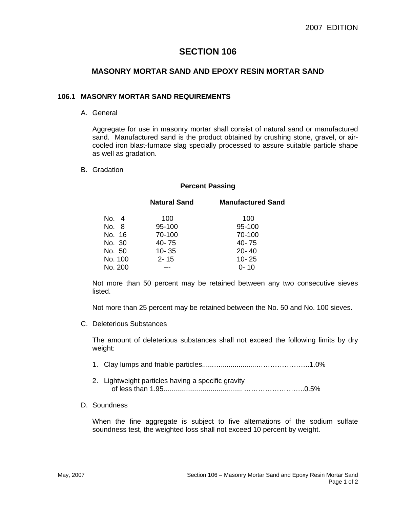# **SECTION 106**

## **MASONRY MORTAR SAND AND EPOXY RESIN MORTAR SAND**

#### **106.1 MASONRY MORTAR SAND REQUIREMENTS**

#### A. General

Aggregate for use in masonry mortar shall consist of natural sand or manufactured sand. Manufactured sand is the product obtained by crushing stone, gravel, or aircooled iron blast-furnace slag specially processed to assure suitable particle shape as well as gradation.

#### B. Gradation

#### **Percent Passing**

|         | <b>Natural Sand</b> | <b>Manufactured Sand</b> |
|---------|---------------------|--------------------------|
| No. 4   | 100                 | 100                      |
| No. 8   | 95-100              | 95-100                   |
| No. 16  | 70-100              | 70-100                   |
| No. 30  | 40-75               | 40-75                    |
| No. 50  | $10 - 35$           | $20 - 40$                |
| No. 100 | $2 - 15$            | $10 - 25$                |
| No. 200 |                     | $0 - 10$                 |

Not more than 50 percent may be retained between any two consecutive sieves listed.

Not more than 25 percent may be retained between the No. 50 and No. 100 sieves.

C. Deleterious Substances

The amount of deleterious substances shall not exceed the following limits by dry weight:

- 1. Clay lumps and friable particles......…..................…………………..1.0%
- 2. Lightweight particles having a specific gravity of less than 1.95........................................ ……………………..0.5%
- D. Soundness

When the fine aggregate is subject to five alternations of the sodium sulfate soundness test, the weighted loss shall not exceed 10 percent by weight.